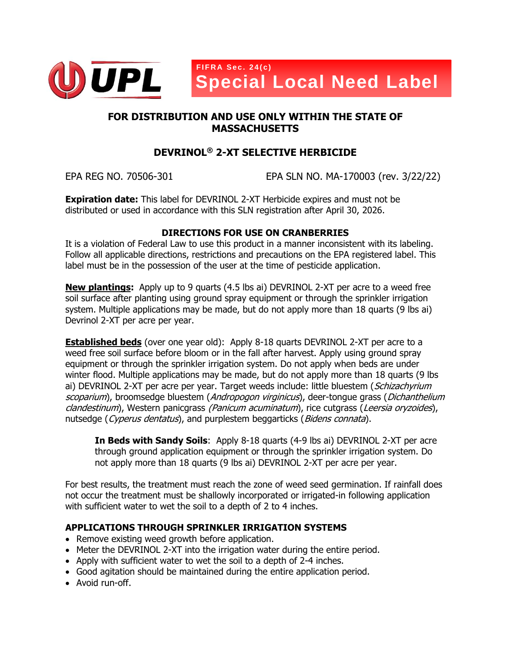

# **FOR DISTRIBUTION AND USE ONLY WITHIN THE STATE OF MASSACHUSETTS**

# **DEVRINOL® 2-XT SELECTIVE HERBICIDE**

EPA REG NO. 70506-301 EPA SLN NO. MA-170003 (rev. 3/22/22)

**Expiration date:** This label for DEVRINOL 2-XT Herbicide expires and must not be distributed or used in accordance with this SLN registration after April 30, 2026.

## **DIRECTIONS FOR USE ON CRANBERRIES**

It is a violation of Federal Law to use this product in a manner inconsistent with its labeling. Follow all applicable directions, restrictions and precautions on the EPA registered label. This label must be in the possession of the user at the time of pesticide application.

**New plantings:** Apply up to 9 quarts (4.5 lbs ai) DEVRINOL 2-XT per acre to a weed free soil surface after planting using ground spray equipment or through the sprinkler irrigation system. Multiple applications may be made, but do not apply more than 18 quarts (9 lbs ai) Devrinol 2-XT per acre per year.

**Established beds** (over one year old): Apply 8-18 quarts DEVRINOL 2-XT per acre to a weed free soil surface before bloom or in the fall after harvest. Apply using ground spray equipment or through the sprinkler irrigation system. Do not apply when beds are under winter flood. Multiple applications may be made, but do not apply more than 18 quarts (9 lbs ai) DEVRINOL 2-XT per acre per year. Target weeds include: little bluestem (Schizachyrium scoparium), broomsedge bluestem (Andropogon virginicus), deer-tongue grass (Dichanthelium clandestinum), Western panicgrass (Panicum acuminatum), rice cutgrass (Leersia oryzoides), nutsedge (Cyperus dentatus), and purplestem beggarticks (Bidens connata).

**In Beds with Sandy Soils**: Apply 8-18 quarts (4-9 lbs ai) DEVRINOL 2-XT per acre through ground application equipment or through the sprinkler irrigation system. Do not apply more than 18 quarts (9 lbs ai) DEVRINOL 2-XT per acre per year.

For best results, the treatment must reach the zone of weed seed germination. If rainfall does not occur the treatment must be shallowly incorporated or irrigated-in following application with sufficient water to wet the soil to a depth of 2 to 4 inches.

## **APPLICATIONS THROUGH SPRINKLER IRRIGATION SYSTEMS**

- Remove existing weed growth before application.
- Meter the DEVRINOL 2-XT into the irrigation water during the entire period.
- Apply with sufficient water to wet the soil to a depth of 2-4 inches.
- Good agitation should be maintained during the entire application period.
- Avoid run-off.